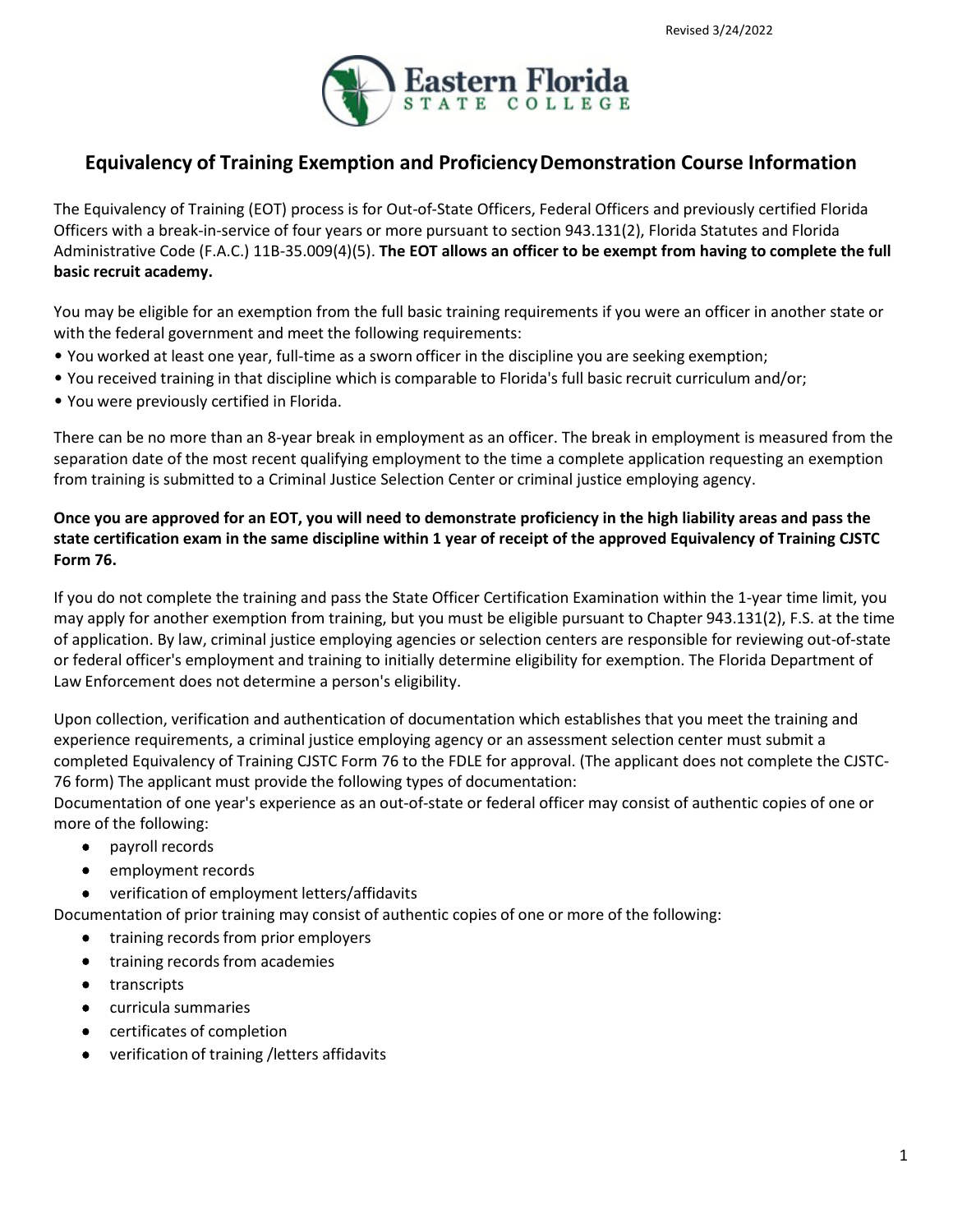

# **Equivalency of Training Exemption and ProficiencyDemonstration Course Information**

The Equivalency of Training (EOT) process is for Out-of-State Officers, Federal Officers and previously certified Florida Officers with a break-in-service of four years or more pursuant to section 943.131(2), Florida Statutes and Florida Administrative Code (F.A.C.) 11B-35.009(4)(5). **The EOT allows an officer to be exempt from having to complete the full basic recruit academy.**

You may be eligible for an exemption from the full basic training requirements if you were an officer in another state or with the federal government and meet the following requirements:

- You worked at least one year, full-time as a sworn officer in the discipline you are seeking exemption;
- You received training in that discipline which is comparable to Florida's full basic recruit curriculum and/or;
- You were previously certified in Florida.

There can be no more than an 8-year break in employment as an officer. The break in employment is measured from the separation date of the most recent qualifying employment to the time a complete application requesting an exemption from training is submitted to a Criminal Justice Selection Center or criminal justice employing agency.

#### **Once you are approved for an EOT, you will need to demonstrate proficiency in the high liability areas and pass the state certification exam in the same discipline within 1 year of receipt of the approved Equivalency of Training CJSTC Form 76.**

If you do not complete the training and pass the State Officer Certification Examination within the 1-year time limit, you may apply for another exemption from training, but you must be eligible pursuant to Chapter 943.131(2), F.S. at the time of application. By law, criminal justice employing agencies or selection centers are responsible for reviewing out-of-state or federal officer's employment and training to initially determine eligibility for exemption. The Florida Department of Law Enforcement does not determine a person's eligibility.

Upon collection, verification and authentication of documentation which establishes that you meet the training and experience requirements, a criminal justice employing agency or an assessment selection center must submit a completed Equivalency of Training CJSTC Form 76 to the FDLE for approval. (The applicant does not complete the CJSTC-76 form) The applicant must provide the following types of documentation:

Documentation of one year's experience as an out-of-state or federal officer may consist of authentic copies of one or more of the following:

- payroll records
- employment records
- verification of employment letters/affidavits

Documentation of prior training may consist of authentic copies of one or more of the following:

- training records from prior employers
- training records from academies
- transcripts
- curricula summaries
- certificates of completion
- verification of training /letters affidavits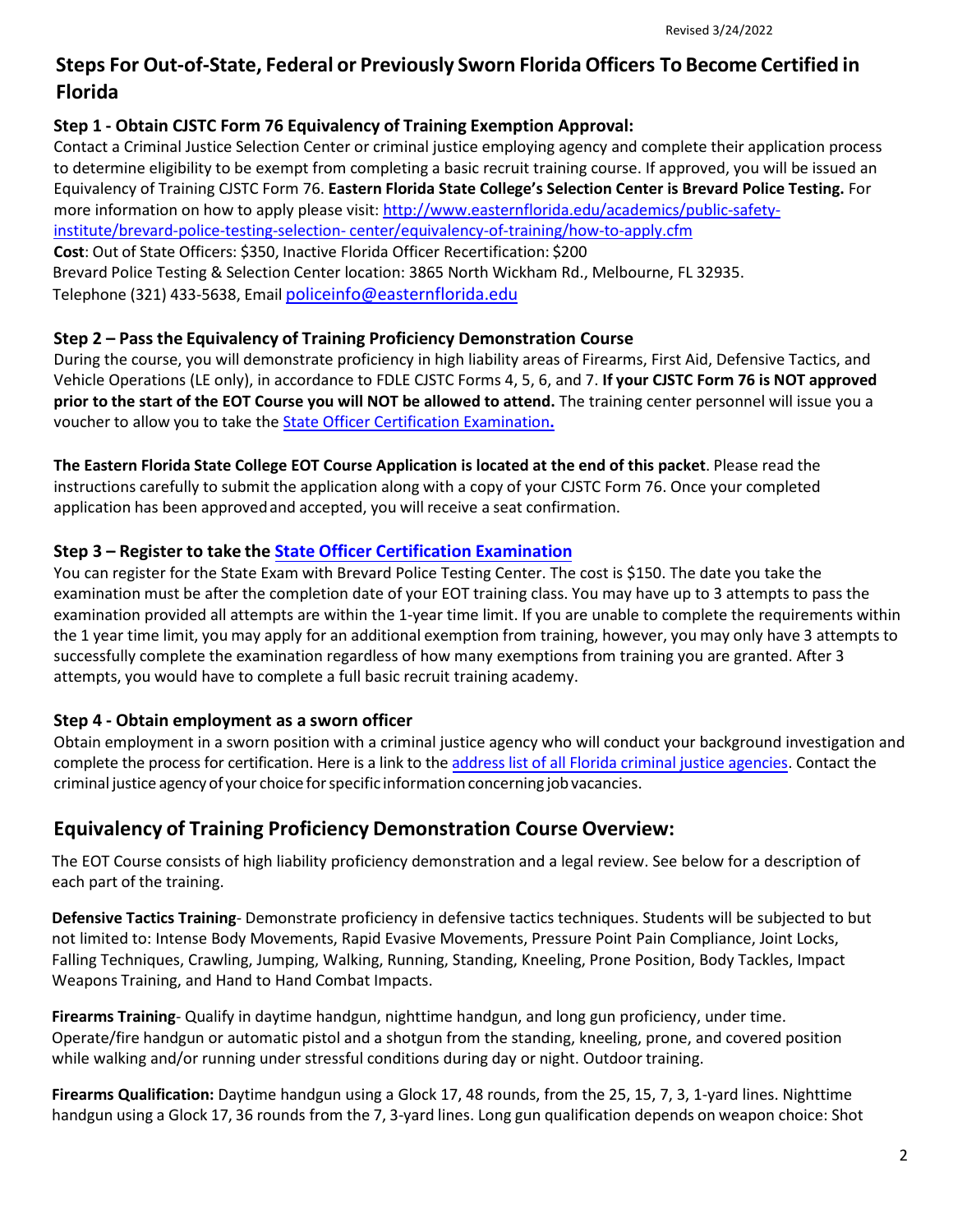# **Steps For Out-of-State, Federal or Previously Sworn Florida Officers To Become Certified in Florida**

#### **Step 1 - Obtain CJSTC Form 76 Equivalency of Training Exemption Approval:**

Contact [a Criminal Justice Selection Center o](http://www.fdle.state.fl.us/CJSTC/Officer-Requirements/Selection-Center-Listing.aspx)r criminal justice employing agency and complete their application process to determine eligibility to be exempt from completing a basic recruit training course. If approved, you will be issued an Equivalency of Training CJSTC Form 76. **Eastern Florida State College's Selection Center is Brevard Police Testing.** For more information on how to apply please visit: [http://www.easternflorida.edu/academics/public-safety](http://www.easternflorida.edu/academics/public-safety-institute/brevard-police-testing-selection-center/equivalency-of-training/how-to-apply.cfm)[institute/brevard-police-testing-selection- center/equivalency-of-training/how-to-apply.cfm](http://www.easternflorida.edu/academics/public-safety-institute/brevard-police-testing-selection-center/equivalency-of-training/how-to-apply.cfm) **Cost**: Out of State Officers: \$350, Inactive Florida Officer Recertification: \$200 Brevard Police Testing & Selection Center location: 3865 North Wickham Rd., Melbourne, FL 32935. Telephone (321) 433-5638, Email [policeinfo@easternflorida.edu](mailto:policeinfo@easternflorida.edu)

#### **Step 2 – Pass the Equivalency of Training Proficiency Demonstration Course**

During the course, you will demonstrate proficiency in high liability areas of Firearms, First Aid, Defensive Tactics, and Vehicle Operations (LE only), in accordance to FDLE CJSTC Forms 4, 5, 6, and 7. **If your CJSTC Form 76 is NOT approved prior to the start of the EOT Course you will NOT be allowed to attend.** The training center personnel will issue you a voucher to allow you to take the State [Officer Certification](http://www.fdle.state.fl.us/CJSTC/Exam/Exam-Home.aspx) Examination**.**

**The Eastern Florida State College EOT Course Application is located at the end of this packet**. Please read the instructions carefully to submit the application along with a copy of your CJSTC Form 76. Once your completed application has been approvedand accepted, you will receive a seat confirmation.

#### **Step 3 – Register to take the State Officer Certification [Examination](http://www.pearsonvue.com/fdle/)**

You can register for the State Exam with Brevard Police Testing Center. The cost is \$150. The date you take the examination must be after the completion date of your EOT training class. You may have up to 3 attempts to pass the examination provided all attempts are within the 1-year time limit. If you are unable to complete the requirements within the 1 year time limit, you may apply for an additional exemption from training, however, you may only have 3 attempts to successfully complete the examination regardless of how many exemptions from training you are granted. After 3 attempts, you would have to complete a full basic recruit training academy.

#### **Step 4 - Obtain employment as a sworn officer**

Obtain employment in a sworn position with a criminal justice agency who will conduct your background investigation and complete the process for certification. Here is a link to the address list [of all Florida criminal](http://www.fdle.state.fl.us/CJSTC/Publications/Criminal-Justice-Agency-Addresses.aspx) justice agencies. Contact the criminal justice agency of your choice forspecific informationconcerning job vacancies.

## **Equivalency of Training Proficiency Demonstration Course Overview:**

The EOT Course consists of high liability proficiency demonstration and a legal review. See below for a description of each part of the training.

**Defensive Tactics Training**- Demonstrate proficiency in defensive tactics techniques. Students will be subjected to but not limited to: Intense Body Movements, Rapid Evasive Movements, Pressure Point Pain Compliance, Joint Locks, Falling Techniques, Crawling, Jumping, Walking, Running, Standing, Kneeling, Prone Position, Body Tackles, Impact Weapons Training, and Hand to Hand Combat Impacts.

**Firearms Training**- Qualify in daytime handgun, nighttime handgun, and long gun proficiency, under time. Operate/fire handgun or automatic pistol and a shotgun from the standing, kneeling, prone, and covered position while walking and/or running under stressful conditions during day or night. Outdoor training.

**Firearms Qualification:** Daytime handgun using a Glock 17, 48 rounds, from the 25, 15, 7, 3, 1-yard lines. Nighttime handgun using a Glock 17, 36 rounds from the 7, 3-yard lines. Long gun qualification depends on weapon choice: Shot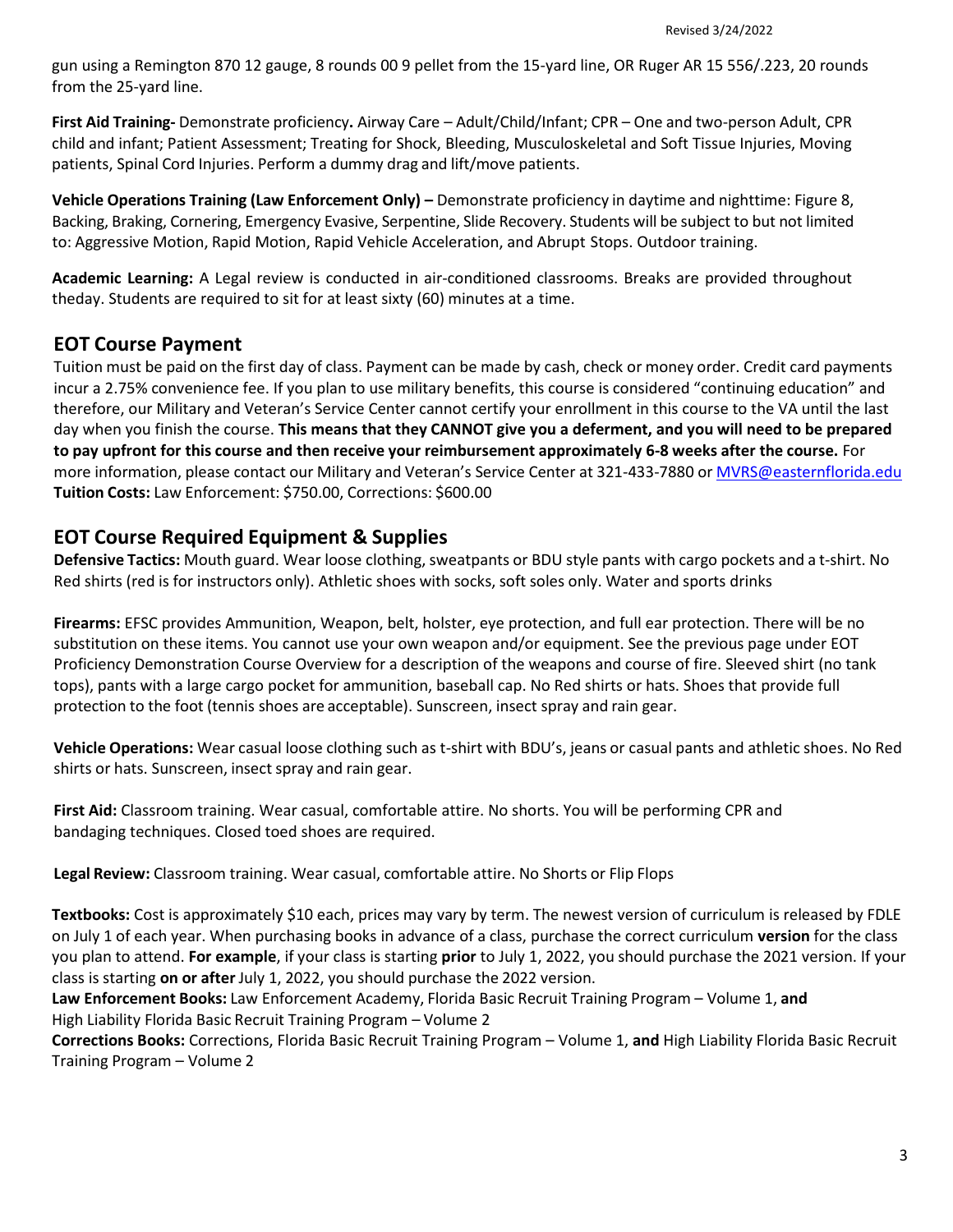gun using a Remington 870 12 gauge, 8 rounds 00 9 pellet from the 15-yard line, OR Ruger AR 15 556/.223, 20 rounds from the 25-yard line.

**First Aid Training-** Demonstrate proficiency**.** Airway Care – Adult/Child/Infant; CPR – One and two-person Adult, CPR child and infant; Patient Assessment; Treating for Shock, Bleeding, Musculoskeletal and Soft Tissue Injuries, Moving patients, Spinal Cord Injuries. Perform a dummy drag and lift/move patients.

**Vehicle Operations Training (Law Enforcement Only) –** Demonstrate proficiency in daytime and nighttime: Figure 8, Backing, Braking, Cornering, Emergency Evasive, Serpentine, Slide Recovery. Students will be subject to but not limited to: Aggressive Motion, Rapid Motion, Rapid Vehicle Acceleration, and Abrupt Stops. Outdoor training.

**Academic Learning:** A Legal review is conducted in air-conditioned classrooms. Breaks are provided throughout theday. Students are required to sit for at least sixty (60) minutes at a time.

## **EOT Course Payment**

Tuition must be paid on the first day of class. Payment can be made by cash, check or money order. Credit card payments incur a 2.75% convenience fee. If you plan to use military benefits, this course is considered "continuing education" and therefore, our Military and Veteran's Service Center cannot certify your enrollment in this course to the VA until the last day when you finish the course. **This means that they CANNOT give you a deferment, and you will need to be prepared to pay upfront for this course and then receive your reimbursement approximately 6-8 weeks after the course.** For more information, please contact our Military and Veteran's Service Center at 321-433-7880 or [MVRS@easternflorida.edu](mailto:MVRS@easternflorida.edu) **Tuition Costs:** Law Enforcement: \$750.00, Corrections: \$600.00

## **EOT Course Required Equipment & Supplies**

**Defensive Tactics:** Mouth guard. Wear loose clothing, sweatpants or BDU style pants with cargo pockets and a t-shirt. No Red shirts (red is for instructors only). Athletic shoes with socks, soft soles only. Water and sports drinks

**Firearms:** EFSC provides Ammunition, Weapon, belt, holster, eye protection, and full ear protection. There will be no substitution on these items. You cannot use your own weapon and/or equipment. See the previous page under EOT Proficiency Demonstration Course Overview for a description of the weapons and course of fire. Sleeved shirt (no tank tops), pants with a large cargo pocket for ammunition, baseball cap. No Red shirts or hats. Shoes that provide full protection to the foot (tennis shoes are acceptable). Sunscreen, insect spray and rain gear.

**Vehicle Operations:** Wear casual loose clothing such as t-shirt with BDU's, jeans or casual pants and athletic shoes. No Red shirts or hats. Sunscreen, insect spray and rain gear.

**First Aid:** Classroom training. Wear casual, comfortable attire. No shorts. You will be performing CPR and bandaging techniques. Closed toed shoes are required.

**Legal Review:** Classroom training. Wear casual, comfortable attire. No Shorts or Flip Flops

**Textbooks:** Cost is approximately \$10 each, prices may vary by term. The newest version of curriculum is released by FDLE on July 1 of each year. When purchasing books in advance of a class, purchase the correct curriculum **version** for the class you plan to attend. **For example**, if your class is starting **prior** to July 1, 2022, you should purchase the 2021 version. If your class is starting **on or after** July 1, 2022, you should purchase the 2022 version.

**Law Enforcement Books:** Law Enforcement Academy, Florida Basic Recruit Training Program – Volume 1, **and** High Liability Florida Basic Recruit Training Program – Volume 2

**Corrections Books:** Corrections, Florida Basic Recruit Training Program – Volume 1, **and** High Liability Florida Basic Recruit Training Program – Volume 2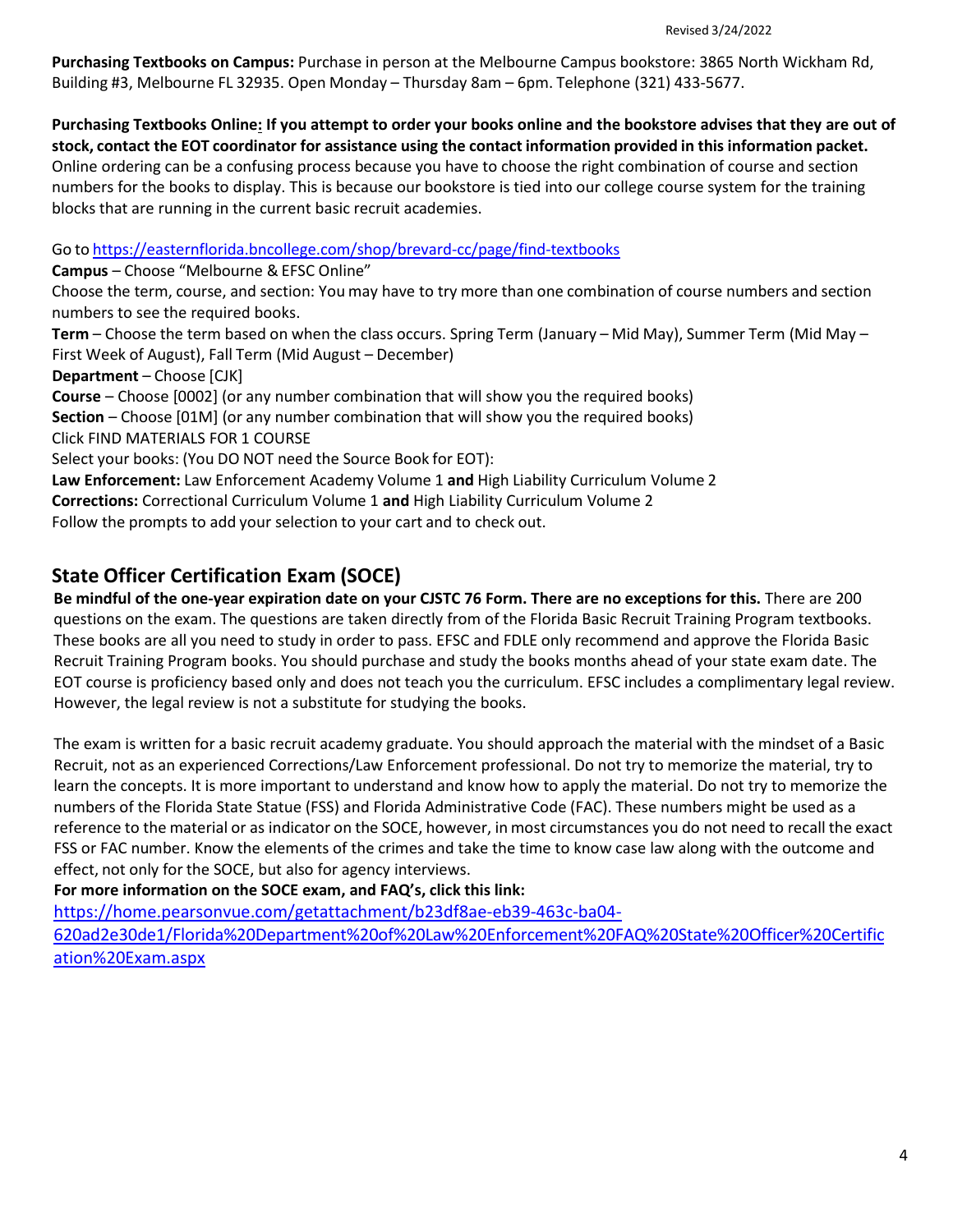**Purchasing Textbooks on Campus:** Purchase in person at the Melbourne Campus bookstore: 3865 North Wickham Rd, Building #3, Melbourne FL 32935. Open Monday – Thursday 8am – 6pm. Telephone (321) 433-5677.

**Purchasing Textbooks Online: If you attempt to order your books online and the bookstore advises that they are out of** stock, contact the EOT coordinator for assistance using the contact information provided in this information packet. Online ordering can be a confusing process because you have to choose the right combination of course and section numbers for the books to display. This is because our bookstore is tied into our college course system for the training blocks that are running in the current basic recruit academies.

Go to <https://easternflorida.bncollege.com/shop/brevard-cc/page/find-textbooks>

**Campus** – Choose "Melbourne & EFSC Online"

Choose the term, course, and section: You may have to try more than one combination of course numbers and section numbers to see the required books.

**Term** – Choose the term based on when the class occurs. Spring Term (January – Mid May), Summer Term (Mid May – First Week of August), Fall Term (Mid August – December)

**Department** – Choose [CJK]

**Course** – Choose [0002] (or any number combination that will show you the required books) **Section** – Choose [01M] (or any number combination that will show you the required books) Click FIND MATERIALS FOR 1 COURSE Select your books: (You DO NOT need the Source Book for EOT):

**Law Enforcement:** Law Enforcement Academy Volume 1 **and** High Liability Curriculum Volume 2

**Corrections:** Correctional Curriculum Volume 1 **and** High Liability Curriculum Volume 2

Follow the prompts to add your selection to your cart and to check out.

# **State Officer Certification Exam (SOCE)**

**Be mindful of the one-year expiration date on your CJSTC 76 Form. There are no exceptions for this.** There are 200 questions on the exam. The questions are taken directly from of the Florida Basic Recruit Training Program textbooks. These books are all you need to study in order to pass. EFSC and FDLE only recommend and approve the Florida Basic Recruit Training Program books. You should purchase and study the books months ahead of your state exam date. The EOT course is proficiency based only and does not teach you the curriculum. EFSC includes a complimentary legal review. However, the legal review is not a substitute for studying the books.

The exam is written for a basic recruit academy graduate. You should approach the material with the mindset of a Basic Recruit, not as an experienced Corrections/Law Enforcement professional. Do not try to memorize the material, try to learn the concepts. It is more important to understand and know how to apply the material. Do not try to memorize the numbers of the Florida State Statue (FSS) and Florida Administrative Code (FAC). These numbers might be used as a reference to the material or as indicator on the SOCE, however, in most circumstances you do not need to recall the exact FSS or FAC number. Know the elements of the crimes and take the time to know case law along with the outcome and effect, not only for the SOCE, but also for agency interviews.

**For more information on the SOCE exam, and FAQ's, click this link:**

[https://home.pearsonvue.com/getattachment/b23df8ae-eb39-463c-ba04-](https://home.pearsonvue.com/getattachment/b23df8ae-eb39-463c-ba04-620ad2e30de1/Florida%20Department%20of%20Law%20Enforcement%20FAQ%20State%20Officer%20Certification%20Exam.aspx)

[620ad2e30de1/Florida%20Department%20of%20Law%20Enforcement%20FAQ%20State%20Officer%20Certific](https://home.pearsonvue.com/getattachment/b23df8ae-eb39-463c-ba04-620ad2e30de1/Florida%20Department%20of%20Law%20Enforcement%20FAQ%20State%20Officer%20Certification%20Exam.aspx) [ation%20Exam.aspx](https://home.pearsonvue.com/getattachment/b23df8ae-eb39-463c-ba04-620ad2e30de1/Florida%20Department%20of%20Law%20Enforcement%20FAQ%20State%20Officer%20Certification%20Exam.aspx)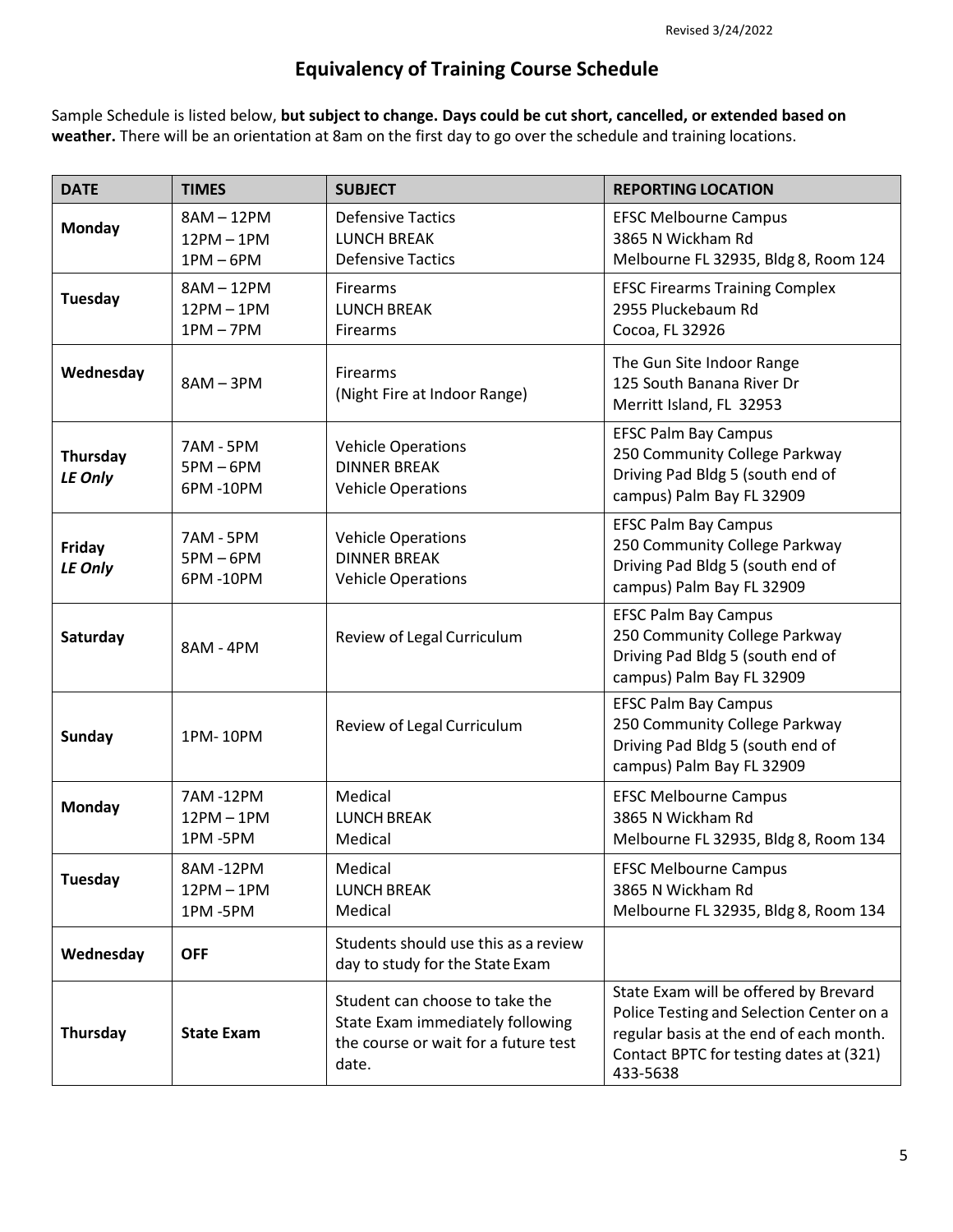# **Equivalency of Training Course Schedule**

Sample Schedule is listed below, **but subject to change. Days could be cut short, cancelled, or extended based on weather.** There will be an orientation at 8am on the first day to go over the schedule and training locations.

| <b>DATE</b>         | <b>TIMES</b>                            | <b>SUBJECT</b>                                                                                                      | <b>REPORTING LOCATION</b>                                                                                                                                                           |
|---------------------|-----------------------------------------|---------------------------------------------------------------------------------------------------------------------|-------------------------------------------------------------------------------------------------------------------------------------------------------------------------------------|
| Monday              | 8AM-12PM<br>$12PM - 1PM$<br>$1PM - 6PM$ | <b>Defensive Tactics</b><br><b>LUNCH BREAK</b><br><b>Defensive Tactics</b>                                          | <b>EFSC Melbourne Campus</b><br>3865 N Wickham Rd<br>Melbourne FL 32935, Bldg 8, Room 124                                                                                           |
| Tuesday             | 8AM-12PM<br>$12PM - 1PM$<br>$1PM - 7PM$ | Firearms<br><b>LUNCH BREAK</b><br>Firearms                                                                          | <b>EFSC Firearms Training Complex</b><br>2955 Pluckebaum Rd<br>Cocoa, FL 32926                                                                                                      |
| Wednesday           | $8AM - 3PM$                             | Firearms<br>(Night Fire at Indoor Range)                                                                            | The Gun Site Indoor Range<br>125 South Banana River Dr<br>Merritt Island, FL 32953                                                                                                  |
| Thursday<br>LE Only | 7AM - 5PM<br>$5PM - 6PM$<br>6PM-10PM    | <b>Vehicle Operations</b><br><b>DINNER BREAK</b><br><b>Vehicle Operations</b>                                       | <b>EFSC Palm Bay Campus</b><br>250 Community College Parkway<br>Driving Pad Bldg 5 (south end of<br>campus) Palm Bay FL 32909                                                       |
| Friday<br>LE Only   | 7AM - 5PM<br>$5PM - 6PM$<br>6PM-10PM    | <b>Vehicle Operations</b><br><b>DINNER BREAK</b><br><b>Vehicle Operations</b>                                       | <b>EFSC Palm Bay Campus</b><br>250 Community College Parkway<br>Driving Pad Bldg 5 (south end of<br>campus) Palm Bay FL 32909                                                       |
| Saturday            | 8AM - 4PM                               | Review of Legal Curriculum                                                                                          | <b>EFSC Palm Bay Campus</b><br>250 Community College Parkway<br>Driving Pad Bldg 5 (south end of<br>campus) Palm Bay FL 32909                                                       |
| <b>Sunday</b>       | 1PM-10PM                                | Review of Legal Curriculum                                                                                          | <b>EFSC Palm Bay Campus</b><br>250 Community College Parkway<br>Driving Pad Bldg 5 (south end of<br>campus) Palm Bay FL 32909                                                       |
| <b>Monday</b>       | 7AM-12PM<br>$12PM - 1PM$<br>1PM-5PM     | Medical<br><b>LUNCH BREAK</b><br>Medical                                                                            | <b>EFSC Melbourne Campus</b><br>3865 N Wickham Rd<br>Melbourne FL 32935, Bldg 8, Room 134                                                                                           |
| <b>Tuesday</b>      | 8AM-12PM<br>$12PM - 1PM$<br>1PM-5PM     | Medical<br><b>LUNCH BREAK</b><br>Medical                                                                            | <b>EFSC Melbourne Campus</b><br>3865 N Wickham Rd<br>Melbourne FL 32935, Bldg 8, Room 134                                                                                           |
| Wednesday           | <b>OFF</b>                              | Students should use this as a review<br>day to study for the State Exam                                             |                                                                                                                                                                                     |
| Thursday            | <b>State Exam</b>                       | Student can choose to take the<br>State Exam immediately following<br>the course or wait for a future test<br>date. | State Exam will be offered by Brevard<br>Police Testing and Selection Center on a<br>regular basis at the end of each month.<br>Contact BPTC for testing dates at (321)<br>433-5638 |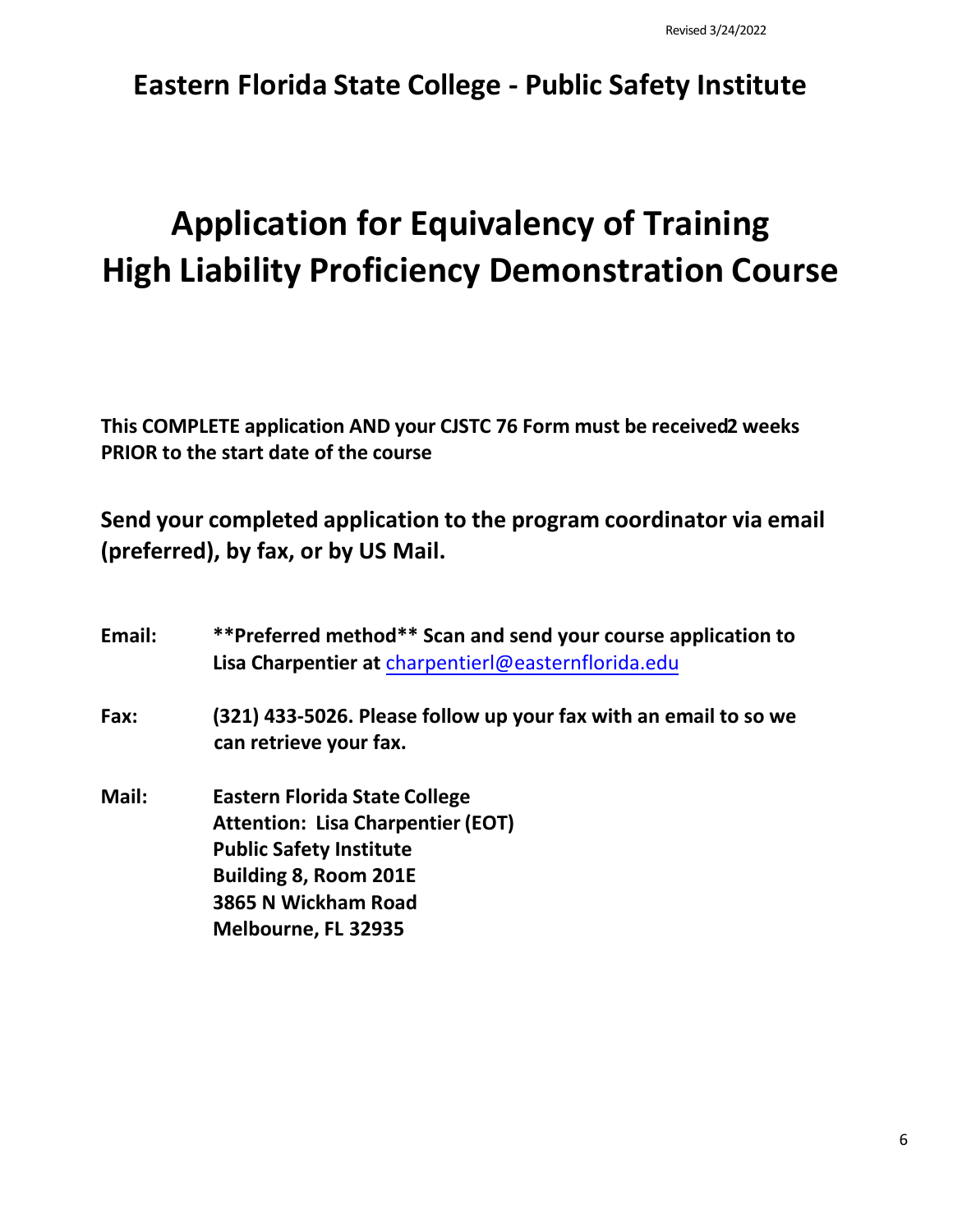# **Eastern Florida State College - Public Safety Institute**

# **Application for Equivalency of Training High Liability Proficiency Demonstration Course**

**This COMPLETE application AND your CJSTC 76 Form must be received2 weeks PRIOR to the start date of the course** 

**Send your completed application to the program coordinator via email (preferred), by fax, or by US Mail.** 

| Email: | **Preferred method** Scan and send your course application to<br>Lisa Charpentier at charpentier   @easternflorida.edu |
|--------|------------------------------------------------------------------------------------------------------------------------|
| Fax:   | (321) 433-5026. Please follow up your fax with an email to so we<br>can retrieve your fax.                             |
| Mail:  | <b>Eastern Florida State College</b><br><b>Attention: Lisa Charpentier (EOT)</b>                                       |
|        | <b>Public Safety Institute</b>                                                                                         |
|        | <b>Building 8, Room 201E</b>                                                                                           |
|        | 3865 N Wickham Road                                                                                                    |
|        | Melbourne, FL 32935                                                                                                    |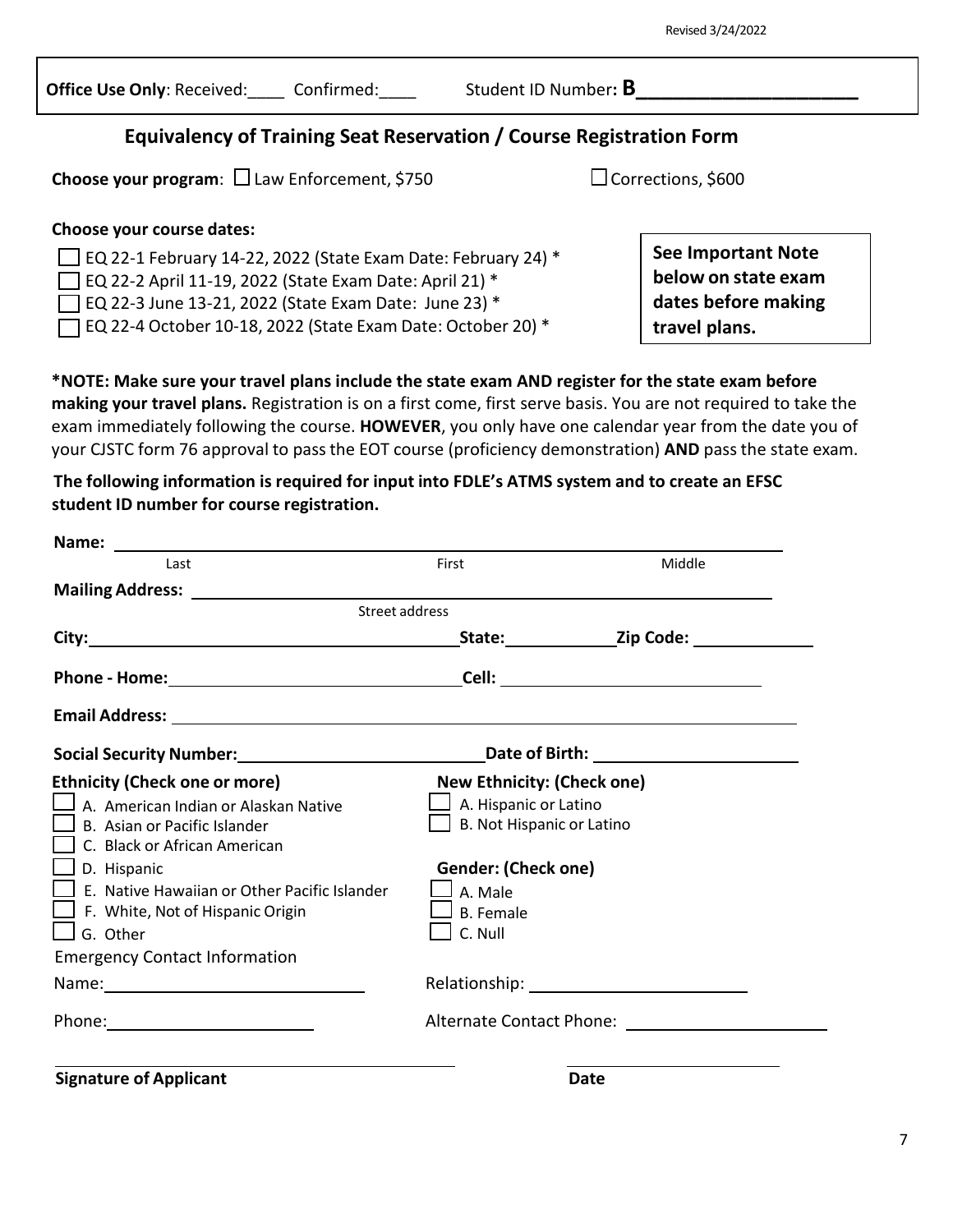| Office Use Only: Received: | Confirmed |
|----------------------------|-----------|
|                            |           |

**Office Use Only**: Received:\_\_\_\_ Confirmed:\_\_\_\_ Student ID Number**: B\_\_\_\_\_\_\_\_\_\_\_\_\_\_\_\_\_\_**

## **Equivalency of Training Seat Reservation / Course Registration Form**

**Choose your program**: □ Law Enforcement, \$750 Corrections, \$600

**Choose your course dates:**

 $\Box$  EQ 22-1 February 14-22, 2022 (State Exam Date: February 24)  $^*$ 

EQ 22-2 April 11-19, 2022 (State Exam Date: April 21) \*

 $\sqrt{2}$  EQ 22-3 June 13-21, 2022 (State Exam Date: June 23)  $^*$ 

EQ 22-4 October 10-18, 2022 (State Exam Date: October 20) \*

**\*NOTE: Make sure your travel plans include the state exam AND register for the state exam before making your travel plans.** Registration is on a first come, first serve basis. You are not required to take the exam immediately following the course. **HOWEVER**, you only have one calendar year from the date you of your CJSTC form 76 approval to pass the EOT course (proficiency demonstration) **AND** pass the state exam.

**The following information is required for input into FDLE's ATMS system and to create an EFSC student ID number for course registration.**

| Last                                                                                                            | First                             | Middle |
|-----------------------------------------------------------------------------------------------------------------|-----------------------------------|--------|
|                                                                                                                 |                                   |        |
| <b>Street address</b>                                                                                           |                                   |        |
|                                                                                                                 |                                   |        |
|                                                                                                                 |                                   |        |
|                                                                                                                 |                                   |        |
| Social Security Number: 1990 1991 1992 2010 1994 2010 2021 2031 2040 2051 2052 2054 2055 2056 2057 2058 2059 20 |                                   |        |
| <b>Ethnicity (Check one or more)</b>                                                                            | <b>New Ethnicity: (Check one)</b> |        |
| $\Box$ A. American Indian or Alaskan Native                                                                     | $\Box$ A. Hispanic or Latino      |        |
| $\Box$ B. Asian or Pacific Islander                                                                             | B. Not Hispanic or Latino         |        |
| C. Black or African American                                                                                    |                                   |        |
| $\Box$ D. Hispanic                                                                                              | Gender: (Check one)               |        |
| $\Box$ E. Native Hawaiian or Other Pacific Islander                                                             | $\Box$ A. Male                    |        |
| $\Box$ F. White, Not of Hispanic Origin                                                                         | $\sf J$ B. Female                 |        |
| $\Box$ G. Other                                                                                                 | $\perp$ C. Null                   |        |
| <b>Emergency Contact Information</b>                                                                            |                                   |        |
|                                                                                                                 |                                   |        |
|                                                                                                                 |                                   |        |
|                                                                                                                 |                                   |        |

**Signature of Applicant Date**

**See Important Note below on state exam dates before making travel plans.**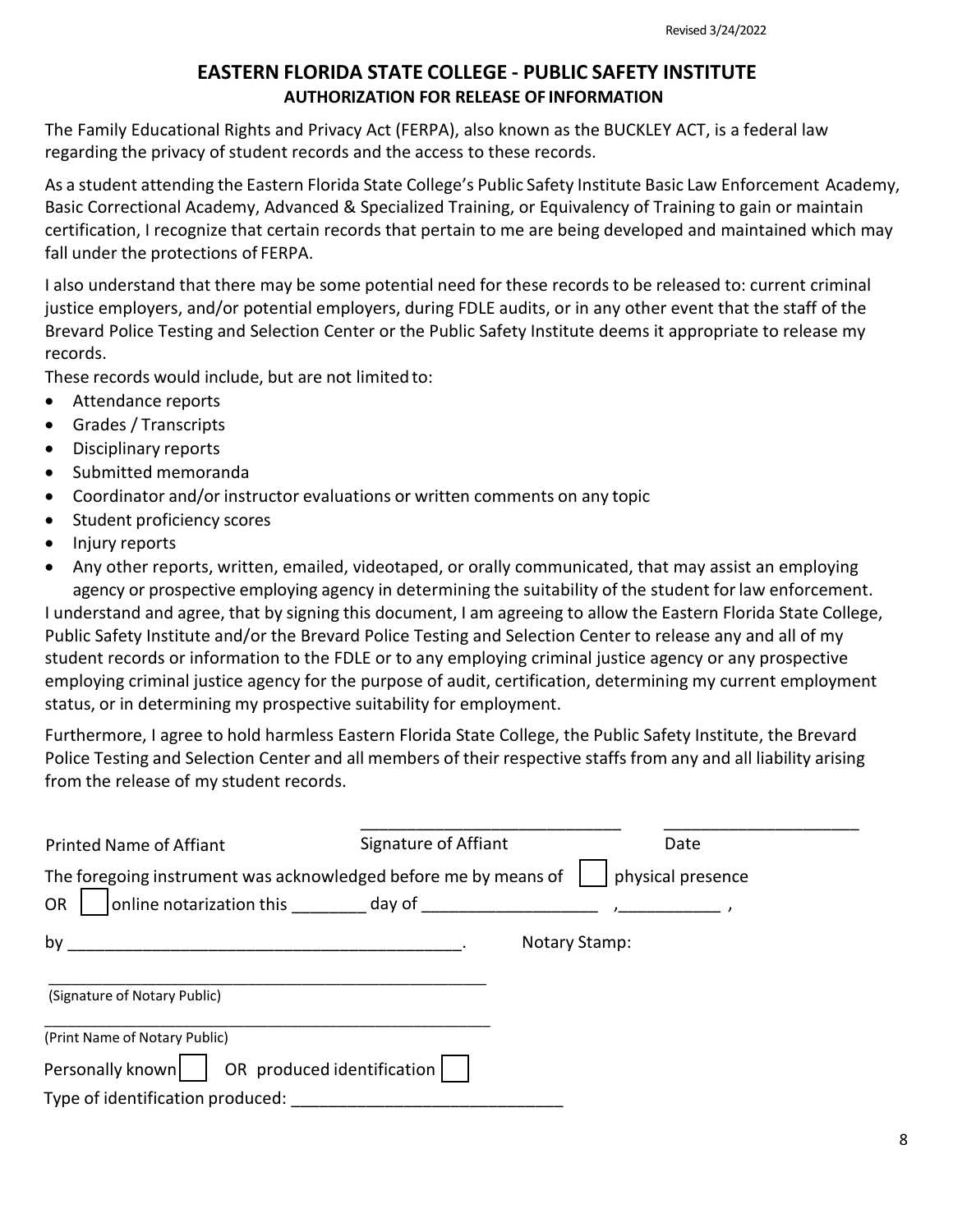### **EASTERN FLORIDA STATE COLLEGE - PUBLIC SAFETY INSTITUTE AUTHORIZATION FOR RELEASE OF INFORMATION**

The Family Educational Rights and Privacy Act (FERPA), also known as the BUCKLEY ACT, is a federal law regarding the privacy of student records and the access to these records.

As a student attending the Eastern Florida State College's Public Safety Institute Basic Law Enforcement Academy, Basic Correctional Academy, Advanced & Specialized Training, or Equivalency of Training to gain or maintain certification, I recognize that certain records that pertain to me are being developed and maintained which may fall under the protections of FERPA.

I also understand that there may be some potential need for these records to be released to: current criminal justice employers, and/or potential employers, during FDLE audits, or in any other event that the staff of the Brevard Police Testing and Selection Center or the Public Safety Institute deems it appropriate to release my records.

These records would include, but are not limited to:

- Attendance reports
- Grades / Transcripts
- Disciplinary reports
- Submitted memoranda
- Coordinator and/or instructor evaluations or written comments on any topic
- Student proficiency scores
- Injury reports
- Any other reports, written, emailed, videotaped, or orally communicated, that may assist an employing agency or prospective employing agency in determining the suitability of the student forlaw enforcement.

I understand and agree, that by signing this document, I am agreeing to allow the Eastern Florida State College, Public Safety Institute and/or the Brevard Police Testing and Selection Center to release any and all of my student records or information to the FDLE or to any employing criminal justice agency or any prospective employing criminal justice agency for the purpose of audit, certification, determining my current employment status, or in determining my prospective suitability for employment.

Furthermore, I agree to hold harmless Eastern Florida State College, the Public Safety Institute, the Brevard Police Testing and Selection Center and all members of their respective staffs from any and all liability arising from the release of my student records.

| Printed Name of Affiant                                         | Signature of Affiant | Date              |
|-----------------------------------------------------------------|----------------------|-------------------|
| The foregoing instrument was acknowledged before me by means of |                      | physical presence |
| <b>OR</b>                                                       |                      |                   |
| by                                                              | <b>Notary Stamp:</b> |                   |
| (Signature of Notary Public)                                    |                      |                   |
| (Print Name of Notary Public)                                   |                      |                   |
| Personally known     OR produced identification                 |                      |                   |
| Type of identification produced:                                |                      |                   |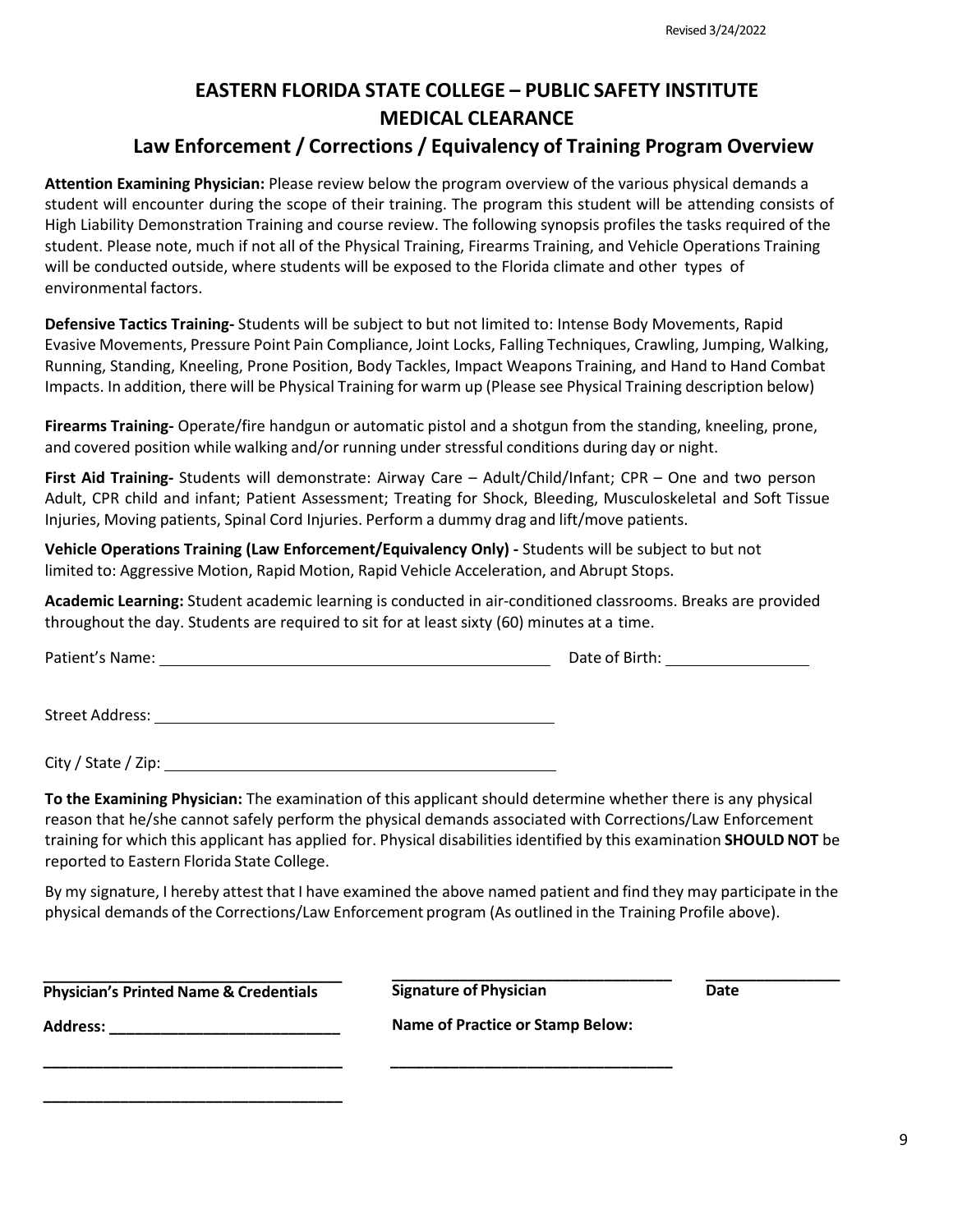# **EASTERN FLORIDA STATE COLLEGE – PUBLIC SAFETY INSTITUTE MEDICAL CLEARANCE**

# **Law Enforcement / Corrections / Equivalency of Training Program Overview**

**Attention Examining Physician:** Please review below the program overview of the various physical demands a student will encounter during the scope of their training. The program this student will be attending consists of High Liability Demonstration Training and course review. The following synopsis profiles the tasks required of the student. Please note, much if not all of the Physical Training, Firearms Training, and Vehicle Operations Training will be conducted outside, where students will be exposed to the Florida climate and other types of environmental factors.

**Defensive Tactics Training-** Students will be subject to but not limited to: Intense Body Movements, Rapid Evasive Movements, Pressure Point Pain Compliance, Joint Locks, Falling Techniques, Crawling, Jumping, Walking, Running, Standing, Kneeling, Prone Position, Body Tackles, Impact Weapons Training, and Hand to Hand Combat Impacts. In addition, there will be Physical Training for warm up (Please see Physical Training description below)

**Firearms Training-** Operate/fire handgun or automatic pistol and a shotgun from the standing, kneeling, prone, and covered position while walking and/or running under stressful conditions during day or night.

**First Aid Training-** Students will demonstrate: Airway Care – Adult/Child/Infant; CPR – One and two person Adult, CPR child and infant; Patient Assessment; Treating for Shock, Bleeding, Musculoskeletal and Soft Tissue Injuries, Moving patients, Spinal Cord Injuries. Perform a dummy drag and lift/move patients.

**Vehicle Operations Training (Law Enforcement/Equivalency Only) -** Students will be subject to but not limited to: Aggressive Motion, Rapid Motion, Rapid Vehicle Acceleration, and Abrupt Stops.

**Academic Learning:** Student academic learning is conducted in air-conditioned classrooms. Breaks are provided throughout the day. Students are required to sit for at least sixty (60) minutes at a time.

Patient's Name: Date of Birth:

Street Address:

City / State / Zip:

**To the Examining Physician:** The examination of this applicant should determine whether there is any physical reason that he/she cannot safely perform the physical demands associated with Corrections/Law Enforcement training for which this applicant has applied for. Physical disabilities identified by this examination **SHOULD NOT** be reported to Eastern Florida State College.

By my signature, I hereby attest that I have examined the above named patient and find they may participate in the physical demands of the Corrections/Law Enforcement program (As outlined in the Training Profile above).

**\_\_\_\_\_\_\_\_\_\_\_\_\_\_\_\_\_\_\_\_\_\_\_\_\_\_\_\_\_\_\_\_\_\_\_\_ Physician's Printed Name & Credentials** 

**\_\_\_\_\_\_\_\_\_\_\_\_\_\_\_\_\_\_\_\_\_\_\_\_\_\_\_\_\_\_\_\_\_\_\_**

**\_\_\_\_\_\_\_\_\_\_\_\_\_\_\_\_\_\_\_\_\_\_\_\_\_\_\_\_\_\_\_\_\_\_\_**

**\_\_\_\_\_\_\_\_\_\_\_\_\_\_\_\_\_\_\_\_\_\_\_\_\_\_\_\_\_\_\_\_\_ Signature of Physician** 

**\_\_\_\_\_\_\_\_\_\_\_\_\_\_\_\_ Date** 

**Address: \_\_\_\_\_\_\_\_\_\_\_\_\_\_\_\_\_\_\_\_\_\_\_\_\_\_\_**

**Name of Practice or Stamp Below:**

**\_\_\_\_\_\_\_\_\_\_\_\_\_\_\_\_\_\_\_\_\_\_\_\_\_\_\_\_\_\_\_\_\_**